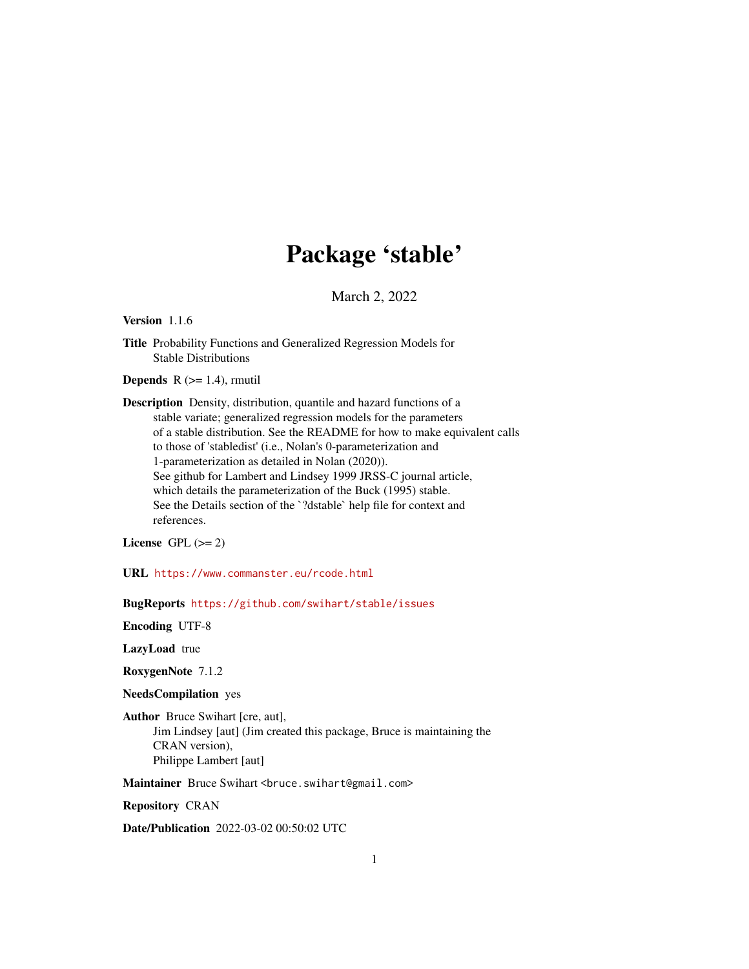## Package 'stable'

March 2, 2022

<span id="page-0-0"></span>Version 1.1.6

Title Probability Functions and Generalized Regression Models for Stable Distributions

**Depends**  $R$  ( $>= 1.4$ ), rmutil

Description Density, distribution, quantile and hazard functions of a stable variate; generalized regression models for the parameters of a stable distribution. See the README for how to make equivalent calls to those of 'stabledist' (i.e., Nolan's 0-parameterization and 1-parameterization as detailed in Nolan (2020)). See github for Lambert and Lindsey 1999 JRSS-C journal article, which details the parameterization of the Buck (1995) stable. See the Details section of the `?dstable` help file for context and references.

License GPL  $(>= 2)$ 

URL <https://www.commanster.eu/rcode.html>

BugReports <https://github.com/swihart/stable/issues>

Encoding UTF-8

LazyLoad true

RoxygenNote 7.1.2

NeedsCompilation yes

Author Bruce Swihart [cre, aut],

Jim Lindsey [aut] (Jim created this package, Bruce is maintaining the CRAN version), Philippe Lambert [aut]

Maintainer Bruce Swihart <br/>bruce.swihart@gmail.com>

Repository CRAN

Date/Publication 2022-03-02 00:50:02 UTC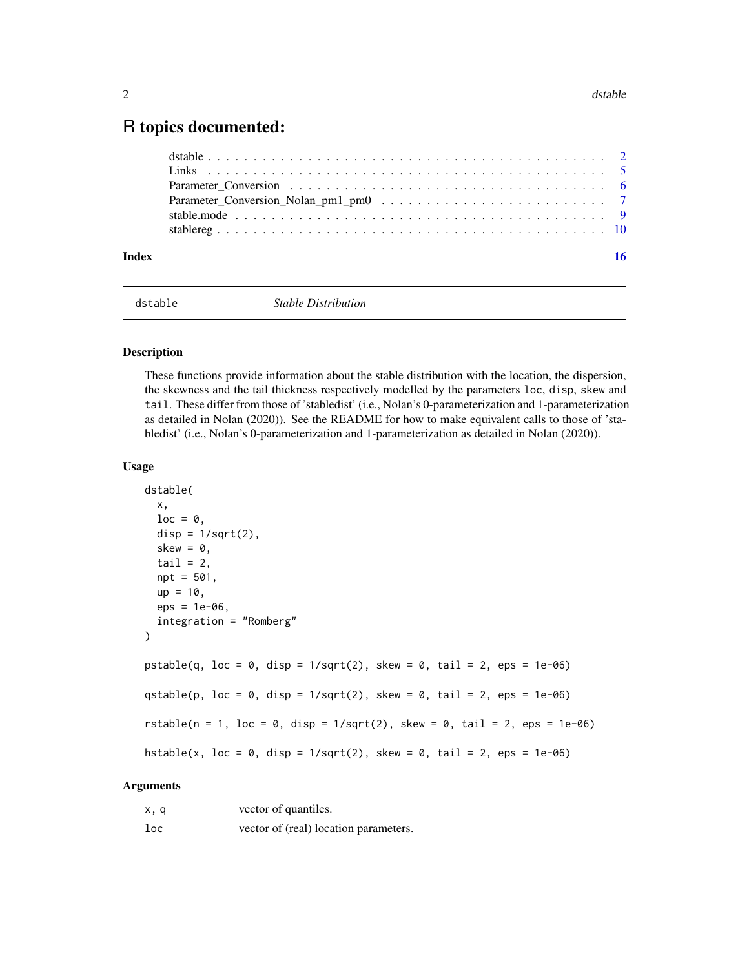### <span id="page-1-0"></span>R topics documented:

| Index |  |
|-------|--|
|       |  |
|       |  |
|       |  |
|       |  |
|       |  |
|       |  |

dstable *Stable Distribution*

#### Description

These functions provide information about the stable distribution with the location, the dispersion, the skewness and the tail thickness respectively modelled by the parameters loc, disp, skew and tail. These differ from those of 'stabledist' (i.e., Nolan's 0-parameterization and 1-parameterization as detailed in Nolan (2020)). See the README for how to make equivalent calls to those of 'stabledist' (i.e., Nolan's 0-parameterization and 1-parameterization as detailed in Nolan (2020)).

#### Usage

```
dstable(
  x,
  loc = 0,
  disp = 1/sqrt(2),
  skew = \theta,
  tail = 2,npt = 501,up = 10,eps = 1e-06,
  integration = "Romberg"
)
pstable(q, loc = 0, disp = 1/sqrt(2), skew = 0, tail = 2,eps = 1e-06)qstable(p, loc = 0, disp = 1/\sqrt{2}, skew = 0, tail = 2, eps = 1e-06)
rstable(n = 1, loc = 0, disp = 1/\sqrt{2}, skew = 0, tail = 2, eps = 1e-06)
hstable(x, loc = 0, disp = 1/\sqrt{2}, skew = 0, tail = 2, eps = 1e-06)
```
#### Arguments

| x, q | vector of quantiles.                  |
|------|---------------------------------------|
| loc  | vector of (real) location parameters. |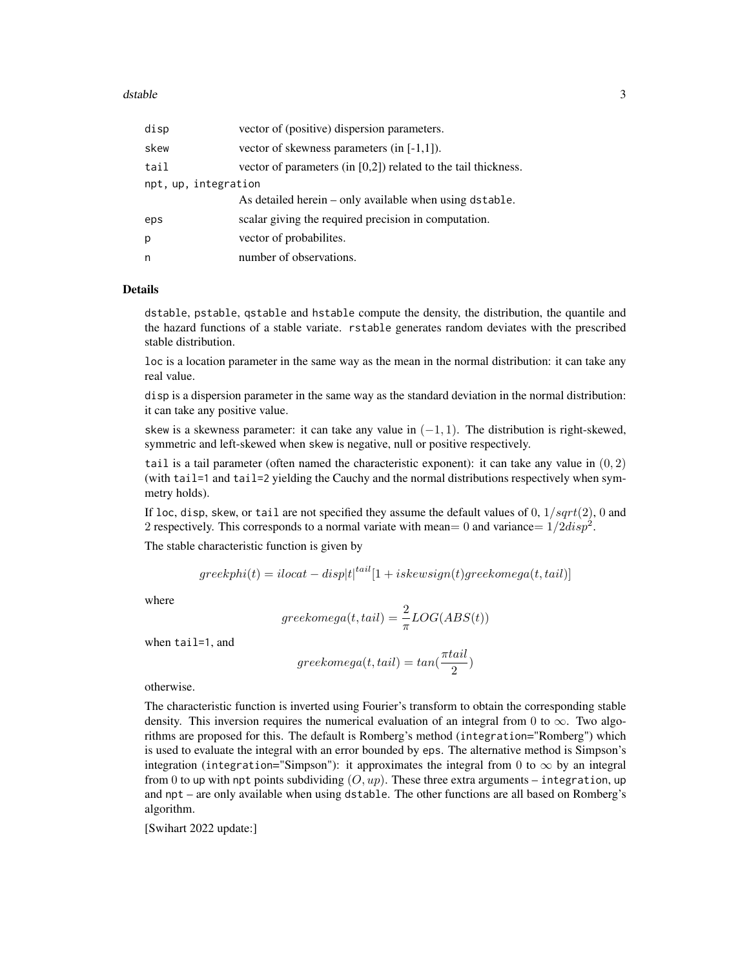#### dstable 3

| disp                 | vector of (positive) dispersion parameters.                       |  |
|----------------------|-------------------------------------------------------------------|--|
| skew                 | vector of skewness parameters (in $[-1,1]$ ).                     |  |
| tail                 | vector of parameters (in $[0,2]$ ) related to the tail thickness. |  |
| npt, up, integration |                                                                   |  |
|                      | As detailed herein – only available when using dstable.           |  |
| eps                  | scalar giving the required precision in computation.              |  |
| p                    | vector of probabilities.                                          |  |
| n                    | number of observations.                                           |  |

#### Details

dstable, pstable, qstable and hstable compute the density, the distribution, the quantile and the hazard functions of a stable variate. rstable generates random deviates with the prescribed stable distribution.

loc is a location parameter in the same way as the mean in the normal distribution: it can take any real value.

disp is a dispersion parameter in the same way as the standard deviation in the normal distribution: it can take any positive value.

skew is a skewness parameter: it can take any value in  $(-1, 1)$ . The distribution is right-skewed, symmetric and left-skewed when skew is negative, null or positive respectively.

tail is a tail parameter (often named the characteristic exponent): it can take any value in  $(0, 2)$ (with tail=1 and tail=2 yielding the Cauchy and the normal distributions respectively when symmetry holds).

If loc, disp, skew, or tail are not specified they assume the default values of  $0, 1/sqrt(2), 0$  and 2 respectively. This corresponds to a normal variate with mean = 0 and variance =  $1/2disp^2$ .

The stable characteristic function is given by

$$
greekphi(t) = ilocat-disp|t|^{tail}[1+iskewsign(t)greekomega(t, tail)]
$$

where

$$
greekomega(t,tail) = \frac{2}{\pi}LOG(ABS(t))
$$

when tail=1, and

$$
greekomega(t,tail)=tan(\frac{\pi tail}{2})
$$

otherwise.

The characteristic function is inverted using Fourier's transform to obtain the corresponding stable density. This inversion requires the numerical evaluation of an integral from 0 to  $\infty$ . Two algorithms are proposed for this. The default is Romberg's method (integration="Romberg") which is used to evaluate the integral with an error bounded by eps. The alternative method is Simpson's integration (integration="Simpson"): it approximates the integral from 0 to  $\infty$  by an integral from 0 to up with npt points subdividing  $(O, up)$ . These three extra arguments – integration, up and npt – are only available when using dstable. The other functions are all based on Romberg's algorithm.

[Swihart 2022 update:]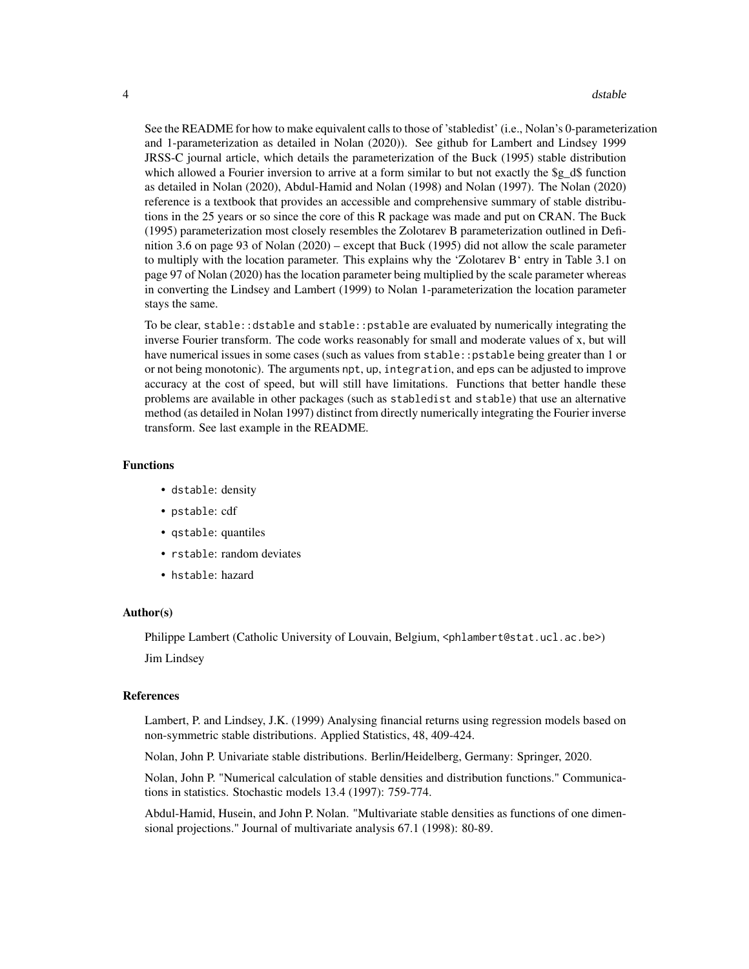See the README for how to make equivalent calls to those of 'stabledist' (i.e., Nolan's 0-parameterization and 1-parameterization as detailed in Nolan (2020)). See github for Lambert and Lindsey 1999 JRSS-C journal article, which details the parameterization of the Buck (1995) stable distribution which allowed a Fourier inversion to arrive at a form similar to but not exactly the \$g\_d\$ function as detailed in Nolan (2020), Abdul-Hamid and Nolan (1998) and Nolan (1997). The Nolan (2020) reference is a textbook that provides an accessible and comprehensive summary of stable distributions in the 25 years or so since the core of this R package was made and put on CRAN. The Buck (1995) parameterization most closely resembles the Zolotarev B parameterization outlined in Definition 3.6 on page 93 of Nolan (2020) – except that Buck (1995) did not allow the scale parameter to multiply with the location parameter. This explains why the 'Zolotarev B' entry in Table 3.1 on page 97 of Nolan (2020) has the location parameter being multiplied by the scale parameter whereas in converting the Lindsey and Lambert (1999) to Nolan 1-parameterization the location parameter stays the same.

To be clear, stable::dstable and stable::pstable are evaluated by numerically integrating the inverse Fourier transform. The code works reasonably for small and moderate values of x, but will have numerical issues in some cases (such as values from stable::pstable being greater than 1 or or not being monotonic). The arguments npt, up, integration, and eps can be adjusted to improve accuracy at the cost of speed, but will still have limitations. Functions that better handle these problems are available in other packages (such as stabledist and stable) that use an alternative method (as detailed in Nolan 1997) distinct from directly numerically integrating the Fourier inverse transform. See last example in the README.

#### Functions

- dstable: density
- pstable: cdf
- qstable: quantiles
- rstable: random deviates
- hstable: hazard

#### Author(s)

Philippe Lambert (Catholic University of Louvain, Belgium, <phlambert@stat.ucl.ac.be>)

Jim Lindsey

#### References

Lambert, P. and Lindsey, J.K. (1999) Analysing financial returns using regression models based on non-symmetric stable distributions. Applied Statistics, 48, 409-424.

Nolan, John P. Univariate stable distributions. Berlin/Heidelberg, Germany: Springer, 2020.

Nolan, John P. "Numerical calculation of stable densities and distribution functions." Communications in statistics. Stochastic models 13.4 (1997): 759-774.

Abdul-Hamid, Husein, and John P. Nolan. "Multivariate stable densities as functions of one dimensional projections." Journal of multivariate analysis 67.1 (1998): 80-89.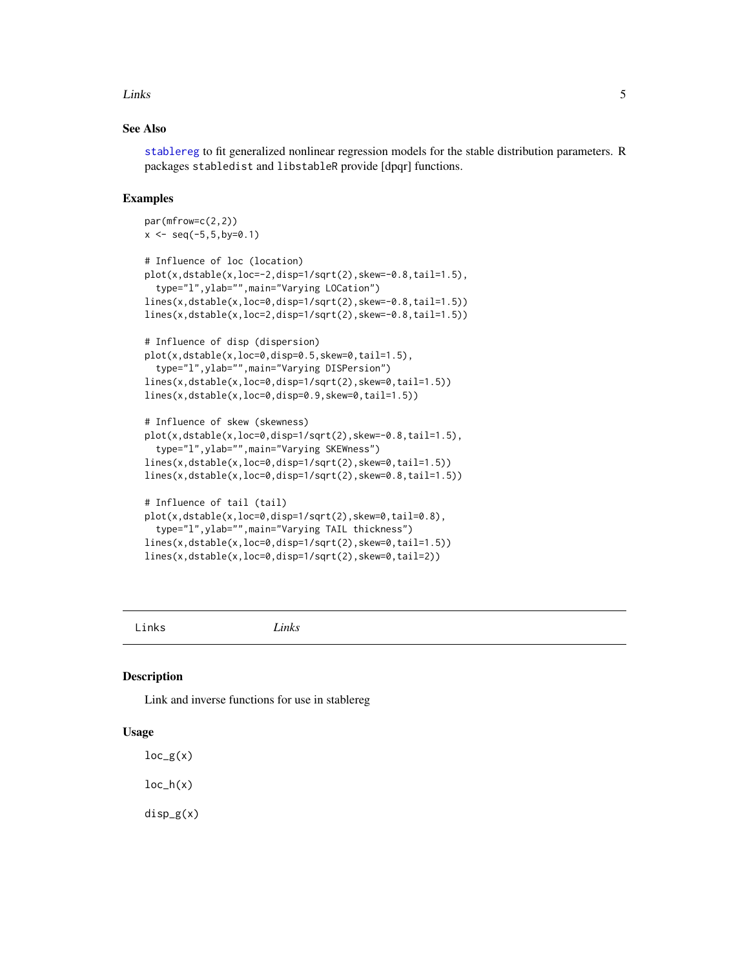#### <span id="page-4-0"></span>Links 5

#### See Also

[stablereg](#page-9-1) to fit generalized nonlinear regression models for the stable distribution parameters. R packages stabledist and libstableR provide [dpqr] functions.

#### Examples

```
par(mfrow=c(2,2))
x \le - seq(-5, 5,by=0.1)
# Influence of loc (location)
plot(x,dstable(x,loc=-2,disp=1/sqrt(2),skew=-0.8,tail=1.5),
  type="l",ylab="",main="Varying LOCation")
lines(x,dstable(x,loc=0,disp=1/sqrt(2),skew=-0.8,tail=1.5))
lines(x,dstable(x,loc=2,disp=1/sqrt(2),skew=-0.8,tail=1.5))
# Influence of disp (dispersion)
plot(x,dstable(x,loc=0,disp=0.5,skew=0,tail=1.5),
  type="l",ylab="",main="Varying DISPersion")
lines(x,dstable(x,loc=0,disp=1/sqrt(2),skew=0,tail=1.5))
lines(x,dstable(x,loc=0,disp=0.9,skew=0,tail=1.5))
# Influence of skew (skewness)
plot(x,dstable(x,loc=0,disp=1/sqrt(2),skew=-0.8,tail=1.5),
 type="l",ylab="",main="Varying SKEWness")
lines(x,dstable(x,loc=0,disp=1/sqrt(2),skew=0,tail=1.5))
lines(x,dstable(x,loc=0,disp=1/sqrt(2),skew=0.8,tail=1.5))
# Influence of tail (tail)
plot(x,dstable(x,loc=0,disp=1/sqrt(2),skew=0,tail=0.8),
 type="l",ylab="",main="Varying TAIL thickness")
lines(x,dstable(x,loc=0,disp=1/sqrt(2),skew=0,tail=1.5))
lines(x,dstable(x,loc=0,disp=1/sqrt(2),skew=0,tail=2))
```
Links *Links*

#### Description

Link and inverse functions for use in stablereg

#### Usage

 $loc_g(x)$ 

 $loc_h(x)$ 

disp\_g(x)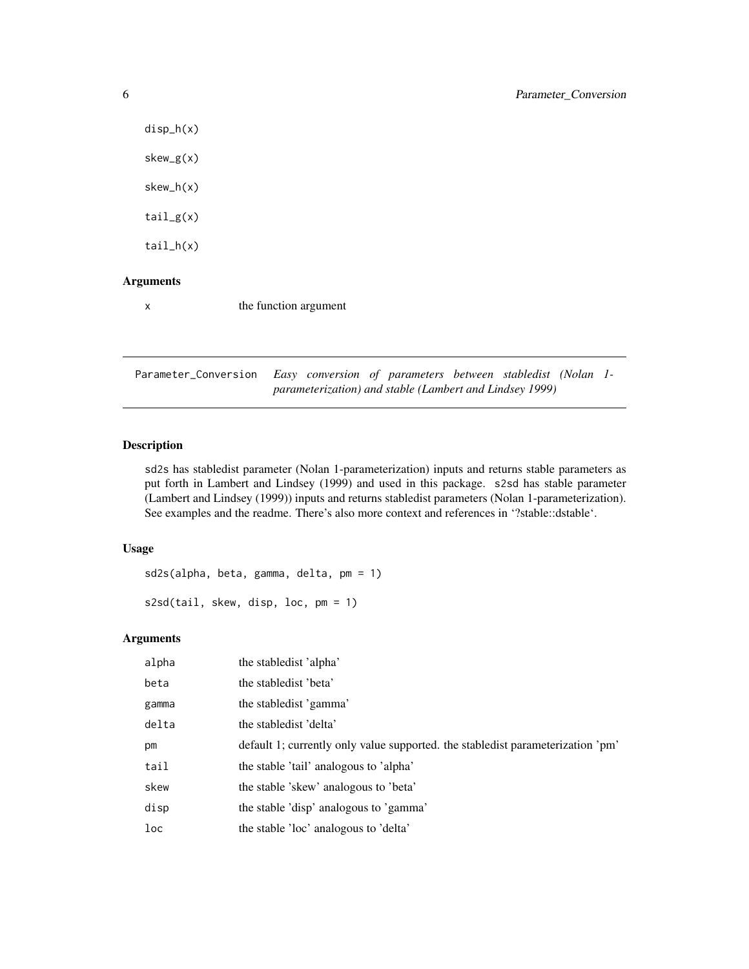disp\_h(x) skew\_g(x) skew\_h(x) tail\_g(x)  $tail_h(x)$ Arguments

x the function argument

Parameter\_Conversion *Easy conversion of parameters between stabledist (Nolan 1 parameterization) and stable (Lambert and Lindsey 1999)*

#### Description

sd2s has stabledist parameter (Nolan 1-parameterization) inputs and returns stable parameters as put forth in Lambert and Lindsey (1999) and used in this package. s2sd has stable parameter (Lambert and Lindsey (1999)) inputs and returns stabledist parameters (Nolan 1-parameterization). See examples and the readme. There's also more context and references in '?stable::dstable'.

#### Usage

sd2s(alpha, beta, gamma, delta, pm = 1)

s2sd(tail, skew, disp, loc, pm = 1)

#### Arguments

| alpha | the stabledist 'alpha'                                                           |
|-------|----------------------------------------------------------------------------------|
| beta  | the stabledist 'beta'                                                            |
| gamma | the stable dist 'gamma'                                                          |
| delta | the stabledist 'delta'                                                           |
| pm    | default 1; currently only value supported, the stabled ist parameterization 'pm' |
| tail  | the stable 'tail' analogous to 'alpha'                                           |
| skew  | the stable 's kew' analogous to 'beta'                                           |
| disp  | the stable 'disp' analogous to 'gamma'                                           |
| loc   | the stable 'loc' analogous to 'delta'                                            |

<span id="page-5-0"></span>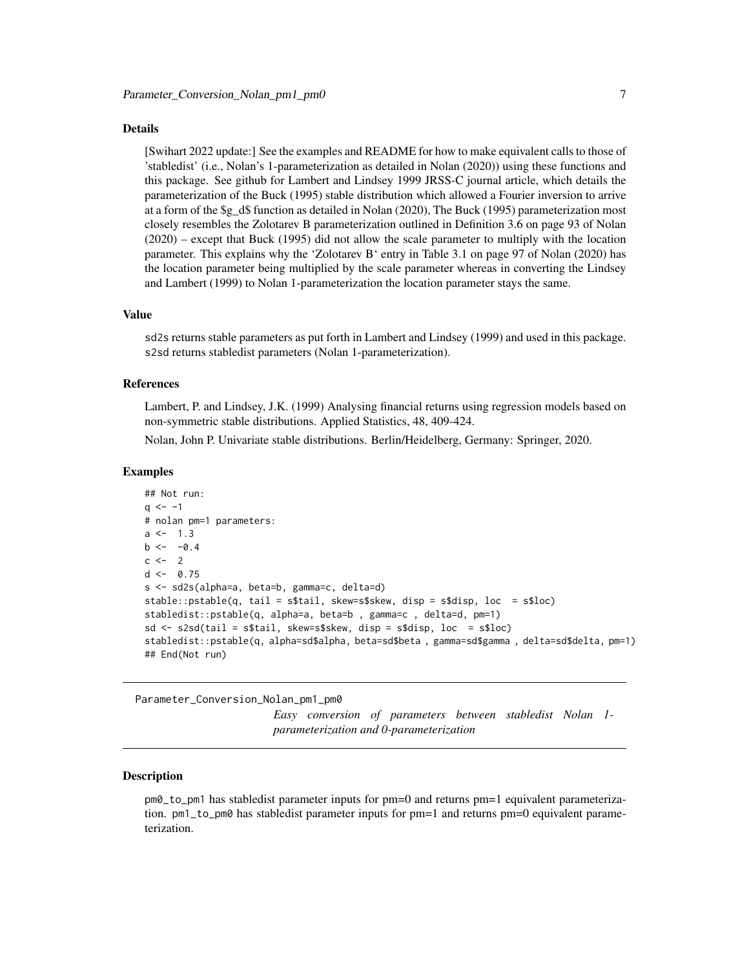#### <span id="page-6-0"></span>Details

[Swihart 2022 update:] See the examples and README for how to make equivalent calls to those of 'stabledist' (i.e., Nolan's 1-parameterization as detailed in Nolan (2020)) using these functions and this package. See github for Lambert and Lindsey 1999 JRSS-C journal article, which details the parameterization of the Buck (1995) stable distribution which allowed a Fourier inversion to arrive at a form of the \$g\_d\$ function as detailed in Nolan (2020), The Buck (1995) parameterization most closely resembles the Zolotarev B parameterization outlined in Definition 3.6 on page 93 of Nolan (2020) – except that Buck (1995) did not allow the scale parameter to multiply with the location parameter. This explains why the 'Zolotarev B' entry in Table 3.1 on page 97 of Nolan (2020) has the location parameter being multiplied by the scale parameter whereas in converting the Lindsey and Lambert (1999) to Nolan 1-parameterization the location parameter stays the same.

#### Value

sd2s returns stable parameters as put forth in Lambert and Lindsey (1999) and used in this package. s2sd returns stabledist parameters (Nolan 1-parameterization).

#### References

Lambert, P. and Lindsey, J.K. (1999) Analysing financial returns using regression models based on non-symmetric stable distributions. Applied Statistics, 48, 409-424.

Nolan, John P. Univariate stable distributions. Berlin/Heidelberg, Germany: Springer, 2020.

#### Examples

```
## Not run:
q \le -1# nolan pm=1 parameters:
a \le -1.3b \le -0.4c \leftarrow 2d \leq -0.75s <- sd2s(alpha=a, beta=b, gamma=c, delta=d)
stable::pstable(q, tail = s$tail, skew=s$skew, disp = s$disp, loc = s$loc)
stabledist::pstable(q, alpha=a, beta=b , gamma=c , delta=d, pm=1)
sd <- s2sd(tail = s$tail, skew=s$skew, disp = s$disp, loc = s$loc)
stabledist::pstable(q, alpha=sd$alpha, beta=sd$beta , gamma=sd$gamma , delta=sd$delta, pm=1)
## End(Not run)
```
Parameter\_Conversion\_Nolan\_pm1\_pm0

*Easy conversion of parameters between stabledist Nolan 1 parameterization and 0-parameterization*

#### Description

pm0\_to\_pm1 has stabledist parameter inputs for pm=0 and returns pm=1 equivalent parameterization. pm1\_to\_pm0 has stabledist parameter inputs for pm=1 and returns pm=0 equivalent parameterization.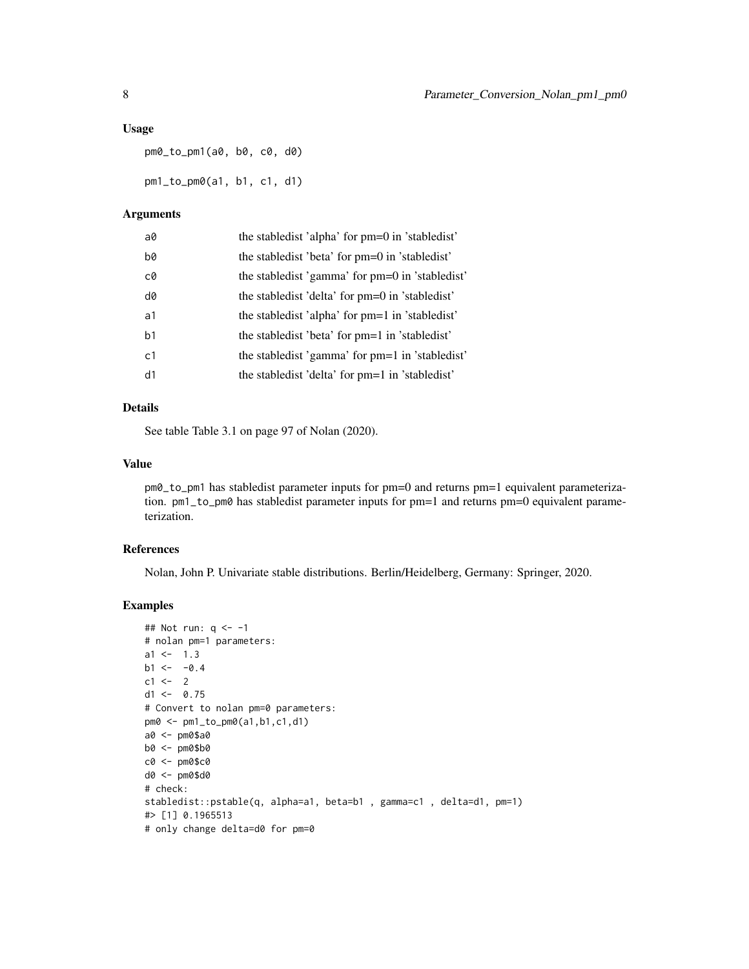#### Usage

pm0\_to\_pm1(a0, b0, c0, d0)

pm1\_to\_pm0(a1, b1, c1, d1)

#### Arguments

| a0             | the stabledist 'alpha' for pm=0 in 'stabledist'     |
|----------------|-----------------------------------------------------|
| b0             | the stabledist 'beta' for pm=0 in 'stabledist'      |
| c0             | the stable dist 'gamma' for pm=0 in 'stable dist'   |
| d0             | the stabledist 'delta' for pm=0 in 'stabledist'     |
| a1             | the stabledist 'alpha' for pm=1 in 'stabledist'     |
| b <sub>1</sub> | the stabled ist 'beta' for pm=1 in 'stabled ist'    |
| c <sub>1</sub> | the stable dist 'gamma' for pm = 1 in 'stable dist' |
| d1             | the stable dist 'delta' for pm=1 in 'stable dist'   |

#### Details

See table Table 3.1 on page 97 of Nolan (2020).

#### Value

pm0\_to\_pm1 has stabledist parameter inputs for pm=0 and returns pm=1 equivalent parameterization. pm1\_to\_pm0 has stabledist parameter inputs for pm=1 and returns pm=0 equivalent parameterization.

#### References

Nolan, John P. Univariate stable distributions. Berlin/Heidelberg, Germany: Springer, 2020.

#### Examples

```
## Not run: q <- -1
# nolan pm=1 parameters:
a1 < -1.3b1 < -0.4c1 < -2d1 < -0.75# Convert to nolan pm=0 parameters:
pm0 <- pm1_to_pm0(a1,b1,c1,d1)
a0 <- pm0$a0
b0 <- pm0$b0
c0 <- pm0$c0
d0 <- pm0$d0
# check:
stabledist::pstable(q, alpha=a1, beta=b1 , gamma=c1 , delta=d1, pm=1)
#> [1] 0.1965513
# only change delta=d0 for pm=0
```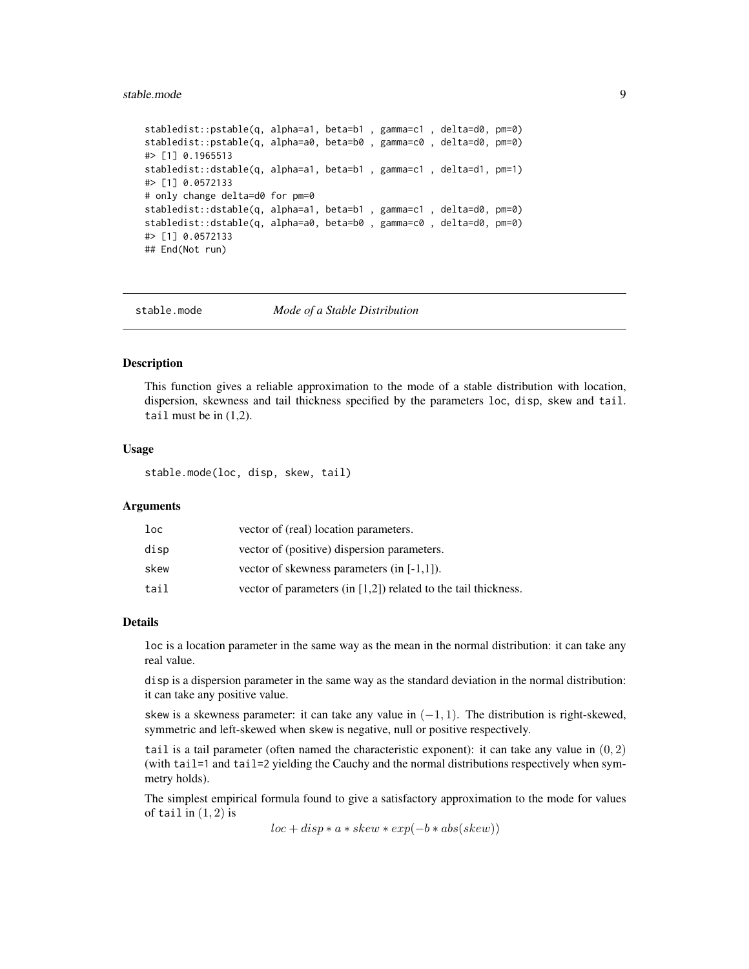#### <span id="page-8-0"></span>stable.mode 9

```
stabledist::pstable(q, alpha=a1, beta=b1 , gamma=c1 , delta=d0, pm=0)
stabledist::pstable(q, alpha=a0, beta=b0, gamma=c0, delta=d0, pm=0)
#> [1] 0.1965513
stabledist::dstable(q, alpha=a1, beta=b1 , gamma=c1 , delta=d1, pm=1)
#> [1] 0.0572133
# only change delta=d0 for pm=0
stabledist::dstable(q, alpha=a1, beta=b1 , gamma=c1 , delta=d0, pm=0)
stabledist::dstable(q, alpha=a0, beta=b0, gamma=c0, delta=d0, pm=0)
#> [1] 0.0572133
## End(Not run)
```
stable.mode *Mode of a Stable Distribution*

#### Description

This function gives a reliable approximation to the mode of a stable distribution with location, dispersion, skewness and tail thickness specified by the parameters loc, disp, skew and tail. tail must be in (1,2).

#### Usage

stable.mode(loc, disp, skew, tail)

#### Arguments

| loc  | vector of (real) location parameters.                             |
|------|-------------------------------------------------------------------|
| disp | vector of (positive) dispersion parameters.                       |
| skew | vector of skewness parameters (in $[-1,1]$ ).                     |
| tail | vector of parameters (in $[1,2]$ ) related to the tail thickness. |

#### Details

loc is a location parameter in the same way as the mean in the normal distribution: it can take any real value.

disp is a dispersion parameter in the same way as the standard deviation in the normal distribution: it can take any positive value.

skew is a skewness parameter: it can take any value in  $(-1, 1)$ . The distribution is right-skewed, symmetric and left-skewed when skew is negative, null or positive respectively.

tail is a tail parameter (often named the characteristic exponent): it can take any value in  $(0, 2)$ (with tail=1 and tail=2 yielding the Cauchy and the normal distributions respectively when symmetry holds).

The simplest empirical formula found to give a satisfactory approximation to the mode for values of tail in  $(1, 2)$  is

 $loc + disp * a * skew * exp(-b * abs(skew))$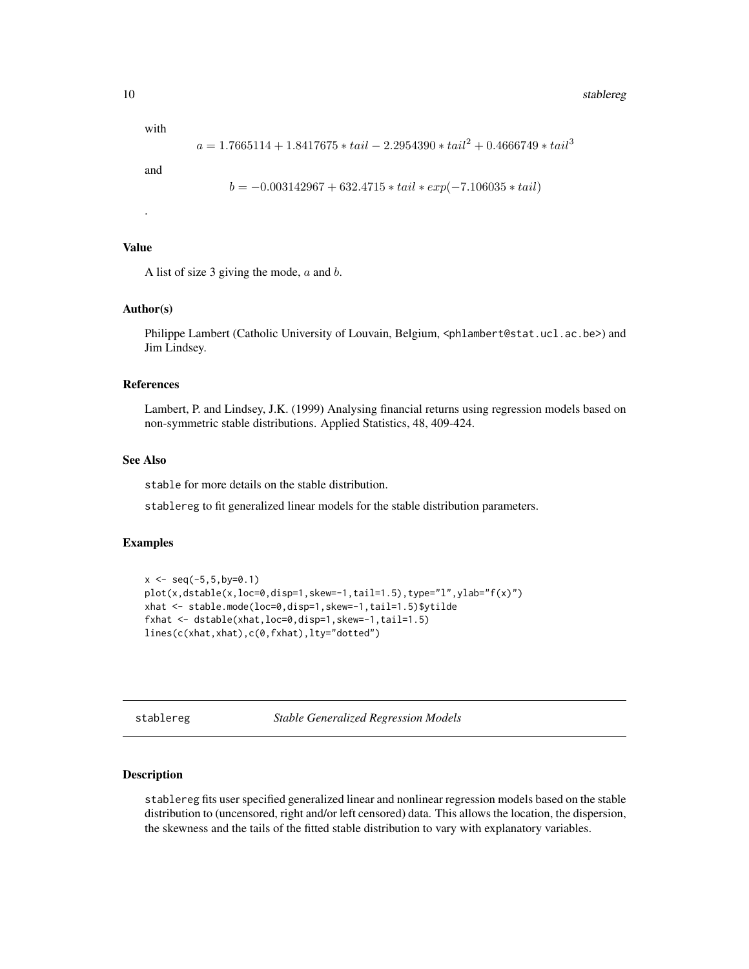<span id="page-9-0"></span>with

$$
a = 1.7665114 + 1.8417675 * tail - 2.2954390 * tail^2 + 0.4666749 * tail^3
$$

and

.

```
b = -0.003142967 + 632.4715 * tail * exp(-7.106035 * tail)
```
#### Value

A list of size 3 giving the mode,  $a$  and  $b$ .

#### Author(s)

Philippe Lambert (Catholic University of Louvain, Belgium, <phlambert@stat.ucl.ac.be>) and Jim Lindsey.

#### References

Lambert, P. and Lindsey, J.K. (1999) Analysing financial returns using regression models based on non-symmetric stable distributions. Applied Statistics, 48, 409-424.

#### See Also

stable for more details on the stable distribution.

stablereg to fit generalized linear models for the stable distribution parameters.

#### Examples

```
x \leq -\text{seq}(-5, 5, \text{by=0}.1)plot(x,dstable(x,loc=0,disp=1,skew=-1,tail=1.5),type="l",ylab="f(x)")
xhat <- stable.mode(loc=0,disp=1,skew=-1,tail=1.5)$ytilde
fxhat <- dstable(xhat,loc=0,disp=1,skew=-1,tail=1.5)
lines(c(xhat,xhat),c(0,fxhat),lty="dotted")
```
<span id="page-9-1"></span>stablereg *Stable Generalized Regression Models*

#### Description

stablereg fits user specified generalized linear and nonlinear regression models based on the stable distribution to (uncensored, right and/or left censored) data. This allows the location, the dispersion, the skewness and the tails of the fitted stable distribution to vary with explanatory variables.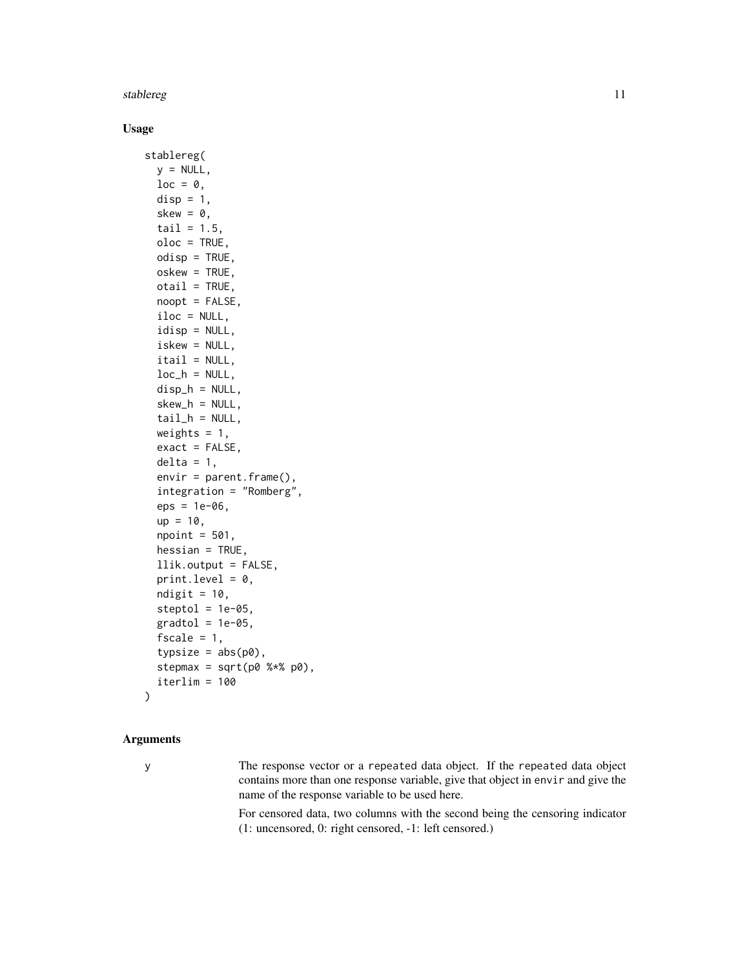#### stablereg the contract of the contract of the contract of the contract of the contract of the contract of the contract of the contract of the contract of the contract of the contract of the contract of the contract of the

#### Usage

```
stablereg(
 y = NULL,loc = 0,
 disp = 1,skew = 0,
  tail = 1.5,
 oloc = TRUE,
  odisp = TRUE,
 oskew = TRUE,
 otail = TRUE,noopt = FALSE,
  iloc = NULL,
  idisp = NULL,
  iskew = NULL,
  itail = NULL,
  loc_h = NULL,disp_h = NULL,skew_h = NULL,tail_h = NULL,weights = 1,
  exact = FALSE,delta = 1,
  envir = parent.frame(),integration = "Romberg",
  eps = 1e-06,
  up = 10,npoint = 501,hessian = TRUE,
  llik.output = FALSE,
  print<math>.level = 0,ndigit = 10,steptol = 1e-05,
  gradtol = 1e-05,
  fscale = 1,
  typsize = abs(p0),
  stepmax = sqrt(p0 % x * p0),iterlim = 100
```
#### Arguments

)

y The response vector or a repeated data object. If the repeated data object contains more than one response variable, give that object in envir and give the name of the response variable to be used here.

> For censored data, two columns with the second being the censoring indicator (1: uncensored, 0: right censored, -1: left censored.)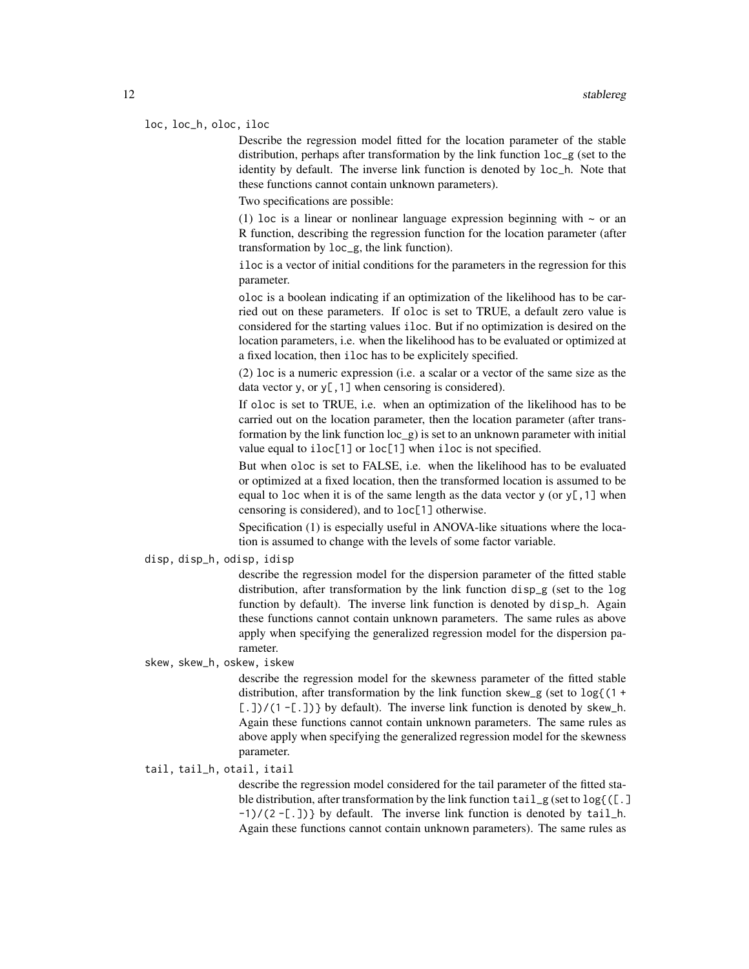#### loc, loc\_h, oloc, iloc

Describe the regression model fitted for the location parameter of the stable distribution, perhaps after transformation by the link function loc\_g (set to the identity by default. The inverse link function is denoted by loc\_h. Note that these functions cannot contain unknown parameters).

Two specifications are possible:

(1) loc is a linear or nonlinear language expression beginning with  $\sim$  or an R function, describing the regression function for the location parameter (after transformation by loc\_g, the link function).

iloc is a vector of initial conditions for the parameters in the regression for this parameter.

oloc is a boolean indicating if an optimization of the likelihood has to be carried out on these parameters. If oloc is set to TRUE, a default zero value is considered for the starting values iloc. But if no optimization is desired on the location parameters, i.e. when the likelihood has to be evaluated or optimized at a fixed location, then iloc has to be explicitely specified.

(2) loc is a numeric expression (i.e. a scalar or a vector of the same size as the data vector y, or  $y$ [, 1] when censoring is considered).

If oloc is set to TRUE, i.e. when an optimization of the likelihood has to be carried out on the location parameter, then the location parameter (after transformation by the link function  $loc_g$ ) is set to an unknown parameter with initial value equal to iloc[1] or loc[1] when iloc is not specified.

But when oloc is set to FALSE, i.e. when the likelihood has to be evaluated or optimized at a fixed location, then the transformed location is assumed to be equal to loc when it is of the same length as the data vector  $y$  (or  $y$ [,1] when censoring is considered), and to loc[1] otherwise.

Specification (1) is especially useful in ANOVA-like situations where the location is assumed to change with the levels of some factor variable.

#### disp, disp\_h, odisp, idisp

describe the regression model for the dispersion parameter of the fitted stable distribution, after transformation by the link function disp\_g (set to the log function by default). The inverse link function is denoted by disp\_h. Again these functions cannot contain unknown parameters. The same rules as above apply when specifying the generalized regression model for the dispersion parameter.

skew, skew\_h, oskew, iskew

describe the regression model for the skewness parameter of the fitted stable distribution, after transformation by the link function skew\_g (set to log{(1 +  $[0.1]/(1 - [0.1])$  by default). The inverse link function is denoted by skew\_h. Again these functions cannot contain unknown parameters. The same rules as above apply when specifying the generalized regression model for the skewness parameter.

#### tail, tail\_h, otail, itail

describe the regression model considered for the tail parameter of the fitted stable distribution, after transformation by the link function tail\_g (set to log{([.]  $-1$ /(2 -[.])} by default. The inverse link function is denoted by tail\_h. Again these functions cannot contain unknown parameters). The same rules as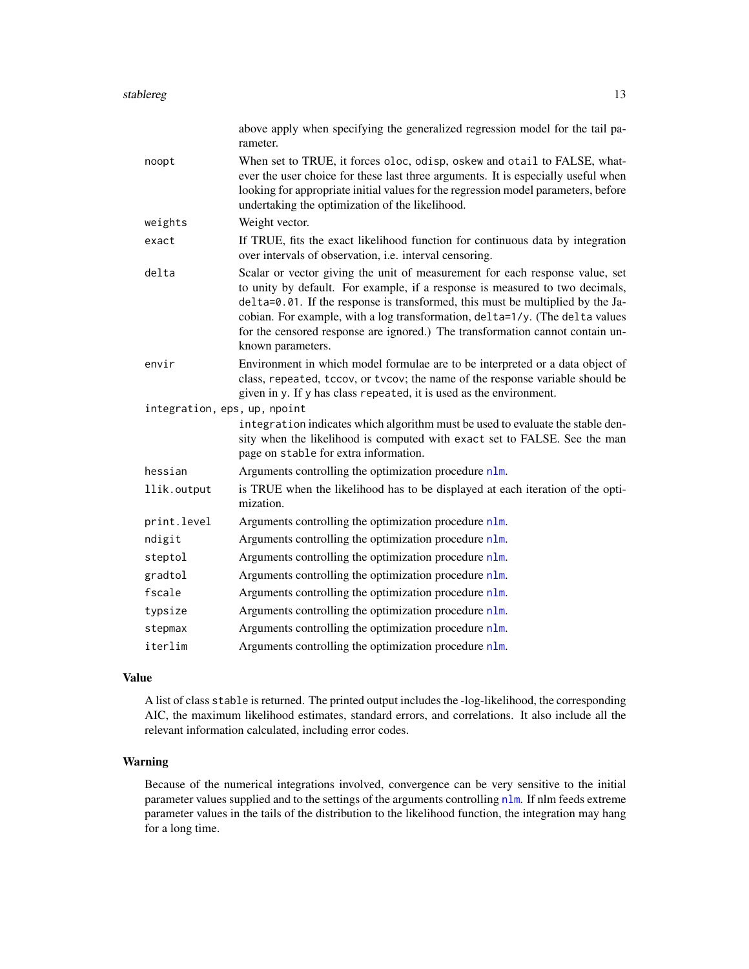<span id="page-12-0"></span>

|                              | above apply when specifying the generalized regression model for the tail pa-<br>rameter.                                                                                                                                                                                                                                                                                                                                            |
|------------------------------|--------------------------------------------------------------------------------------------------------------------------------------------------------------------------------------------------------------------------------------------------------------------------------------------------------------------------------------------------------------------------------------------------------------------------------------|
| noopt                        | When set to TRUE, it forces oloc, odisp, oskew and otail to FALSE, what-<br>ever the user choice for these last three arguments. It is especially useful when<br>looking for appropriate initial values for the regression model parameters, before<br>undertaking the optimization of the likelihood.                                                                                                                               |
| weights                      | Weight vector.                                                                                                                                                                                                                                                                                                                                                                                                                       |
| exact                        | If TRUE, fits the exact likelihood function for continuous data by integration<br>over intervals of observation, i.e. interval censoring.                                                                                                                                                                                                                                                                                            |
| delta                        | Scalar or vector giving the unit of measurement for each response value, set<br>to unity by default. For example, if a response is measured to two decimals,<br>delta=0.01. If the response is transformed, this must be multiplied by the Ja-<br>cobian. For example, with a log transformation, delta=1/y. (The delta values<br>for the censored response are ignored.) The transformation cannot contain un-<br>known parameters. |
| envir                        | Environment in which model formulae are to be interpreted or a data object of<br>class, repeated, tccov, or tvcov; the name of the response variable should be<br>given in y. If y has class repeated, it is used as the environment.                                                                                                                                                                                                |
| integration, eps, up, npoint |                                                                                                                                                                                                                                                                                                                                                                                                                                      |
|                              | integration indicates which algorithm must be used to evaluate the stable den-<br>sity when the likelihood is computed with exact set to FALSE. See the man<br>page on stable for extra information.                                                                                                                                                                                                                                 |
| hessian                      | Arguments controlling the optimization procedure nlm.                                                                                                                                                                                                                                                                                                                                                                                |
| llik.output                  | is TRUE when the likelihood has to be displayed at each iteration of the opti-<br>mization.                                                                                                                                                                                                                                                                                                                                          |
| print.level                  | Arguments controlling the optimization procedure nlm.                                                                                                                                                                                                                                                                                                                                                                                |
| ndigit                       | Arguments controlling the optimization procedure nlm.                                                                                                                                                                                                                                                                                                                                                                                |
| steptol                      | Arguments controlling the optimization procedure nlm.                                                                                                                                                                                                                                                                                                                                                                                |
| gradtol                      | Arguments controlling the optimization procedure nlm.                                                                                                                                                                                                                                                                                                                                                                                |
| fscale                       | Arguments controlling the optimization procedure nlm.                                                                                                                                                                                                                                                                                                                                                                                |
| typsize                      | Arguments controlling the optimization procedure nlm.                                                                                                                                                                                                                                                                                                                                                                                |
| stepmax                      | Arguments controlling the optimization procedure nlm.                                                                                                                                                                                                                                                                                                                                                                                |
| iterlim                      | Arguments controlling the optimization procedure nlm.                                                                                                                                                                                                                                                                                                                                                                                |

#### Value

A list of class stable is returned. The printed output includes the -log-likelihood, the corresponding AIC, the maximum likelihood estimates, standard errors, and correlations. It also include all the relevant information calculated, including error codes.

#### Warning

Because of the numerical integrations involved, convergence can be very sensitive to the initial parameter values supplied and to the settings of the arguments controlling [nlm](#page-0-0). If nlm feeds extreme parameter values in the tails of the distribution to the likelihood function, the integration may hang for a long time.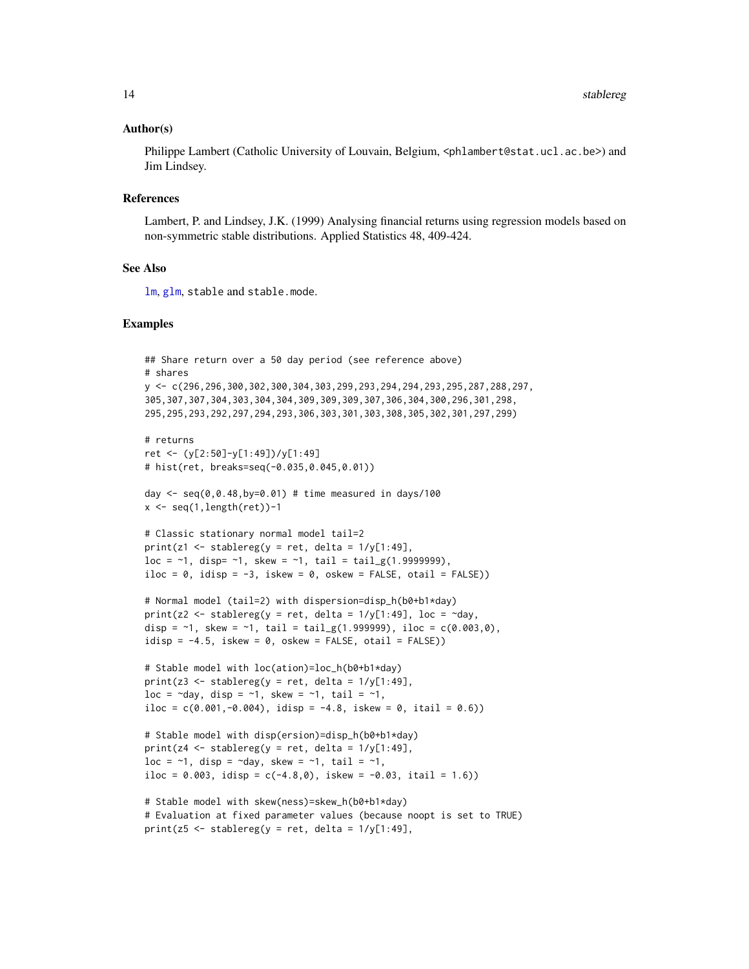#### <span id="page-13-0"></span>Author(s)

Philippe Lambert (Catholic University of Louvain, Belgium, <phlambert@stat.ucl.ac.be>) and Jim Lindsey.

#### References

Lambert, P. and Lindsey, J.K. (1999) Analysing financial returns using regression models based on non-symmetric stable distributions. Applied Statistics 48, 409-424.

#### See Also

[lm](#page-0-0), [glm](#page-0-0), stable and stable.mode.

#### Examples

```
## Share return over a 50 day period (see reference above)
# shares
y <- c(296,296,300,302,300,304,303,299,293,294,294,293,295,287,288,297,
305,307,307,304,303,304,304,309,309,309,307,306,304,300,296,301,298,
295,295,293,292,297,294,293,306,303,301,303,308,305,302,301,297,299)
# returns
ret <- (y[2:50]-y[1:49])/y[1:49]
# hist(ret, breaks=seq(-0.035,0.045,0.01))
day \leq seq(0,0.48,by=0.01) # time measured in days/100
x \leq -\text{seq}(1, \text{length}(\text{ret})) - 1# Classic stationary normal model tail=2
print(z1 <- stablereg(y = ret, delta = 1/y[1:49],
loc = -1, disp= -1, skew = -1, tail = tail_g(1.9999999),
iloc = \theta, idisp = -3, iskew = \theta, oskew = FALSE, otail = FALSE))
# Normal model (tail=2) with dispersion=disp_h(b0+b1*day)
print(z2 \le stablereg(y = ret, delta = 1/y[1:49], loc = \simday,
disp = \sim1, skew = \sim1, tail = tail_g(1.999999), iloc = c(0.003,0),
idisp = -4.5, iskew = 0, oskew = FALSE, otail = FALSE))
# Stable model with loc(ation)=loc_h(b0+b1*day)
print(z3 <- stablereg(y = ret, delta = 1/y[1:49],
loc = -day, disp = -1, skew = -1, tail = -1,
iloc = c(0.001, -0.004), idisp = -4.8, iskew = 0, itail = 0.6))
# Stable model with disp(ersion)=disp_h(b0+b1*day)
print(z4 \leq state1 stablereg(y = ret, delta = 1/y[1:49],
loc = \sim1, disp = \simday, skew = \sim1, tail = \sim1,
iloc = 0.003, idisp = c(-4.8,0), iskew = -0.03, itail = 1.6))
# Stable model with skew(ness)=skew_h(b0+b1*day)
# Evaluation at fixed parameter values (because noopt is set to TRUE)
print(z5 \le stablereg(y = ret, delta = 1/y[1:49],
```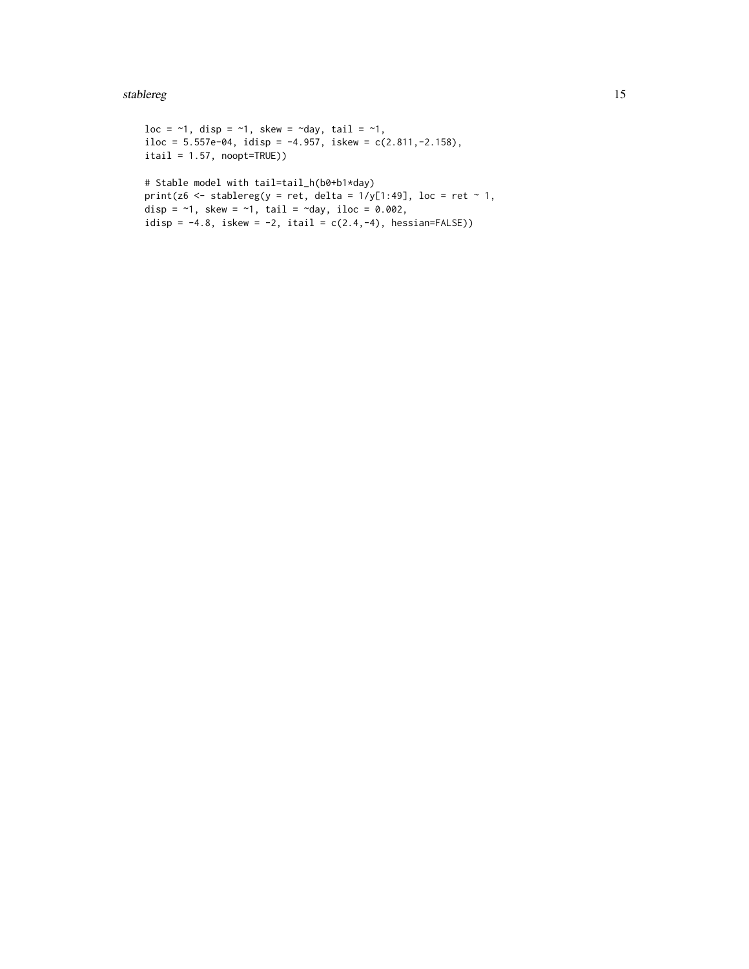#### stablereg the stable stable stable stable stable stable stable stable stable stable stable stable stable stable

```
loc = \sim1, disp = \sim1, skew = \simday, tail = \sim1,
iloc = 5.557e-04, idisp = -4.957, iskew = c(2.811,-2.158),
ital = 1.57, noopt=True()# Stable model with tail=tail_h(b0+b1*day)
print(z6 <- stablereg(y = ret, delta = 1/y[1:49], loc = ret ~ 1,
disp = -1, skew = -1, tail = -day, iloc = 0.002,
idisp = -4.8, iskew = -2, itail = c(2.4, -4), hessian=FALSE))
```